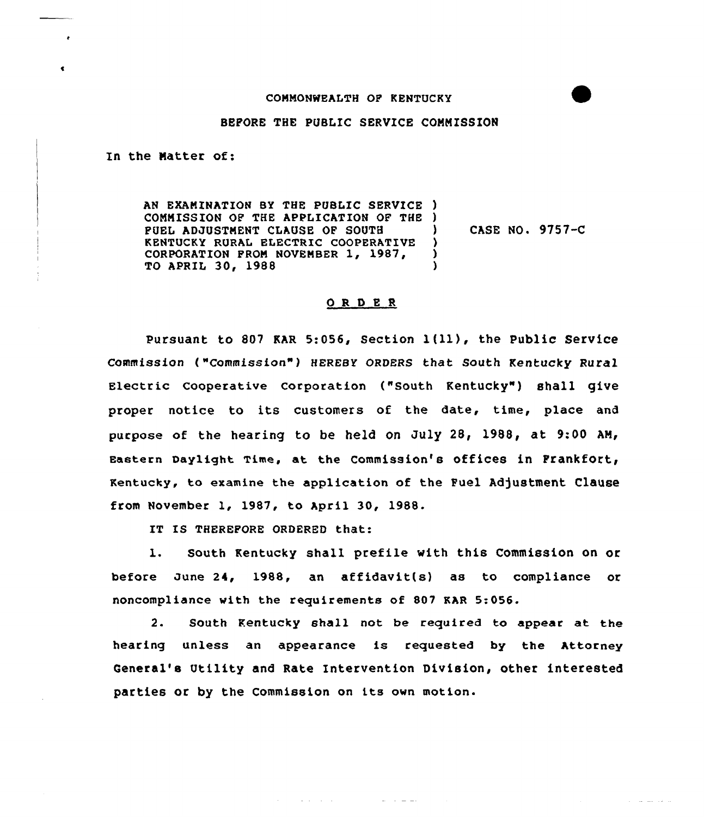## COMMONWEALTH OF RENTUCKY

## BEFORE THE PUBLIC SERVICE CONNZSSIOH

In the Natter of:

AH EXANINATION BY THE PUBLIC SERVICE ) CONNISSIOH OF THE APPLICATION OF THE ) FUEL ADJUSTNEHT CLAUSE OF SOUTH KENTUCKY RURAL ELECTRIC COOPERATIVE CORPORATION FROM NOVEMBER 1, 1987, To APRIL 30, 1988 CASE HO. 9757-C )  $\lambda$ )

## ORDER

Pursuant to <sup>807</sup> MR 5:056, Section l(ll), the Public Service Commission ("Commission") HEREBY ORDERS that South Kentucky Rural Electric Cooperative Corporation ("South Kentucky") shall give proper notice to its customers of the date, time, place and purpose of the hearing to be held on July 28, 1988, at 9:00 AM/ Eastern Daylight Time, at the Commission's offices in Frankfort, Kentucky, to examine the application of the Fuel Adjustment Clause from November 1, 1987, to April 30, 1988.

IT IS THEREFORE ORDERED that:

l. South Kentucky shall prefile with this Commission on or before June 24, 1988, an affidavit(s) as to compliance or noncompliance with the requirements of 807 KAR 5:056.

2. South Kentucky shall not be required to appear at the hearing unless an appearance is requested by the Attorney Ceneral's Utility and Rate Intervention Division, other interested parties or by the Commission on its own motion.